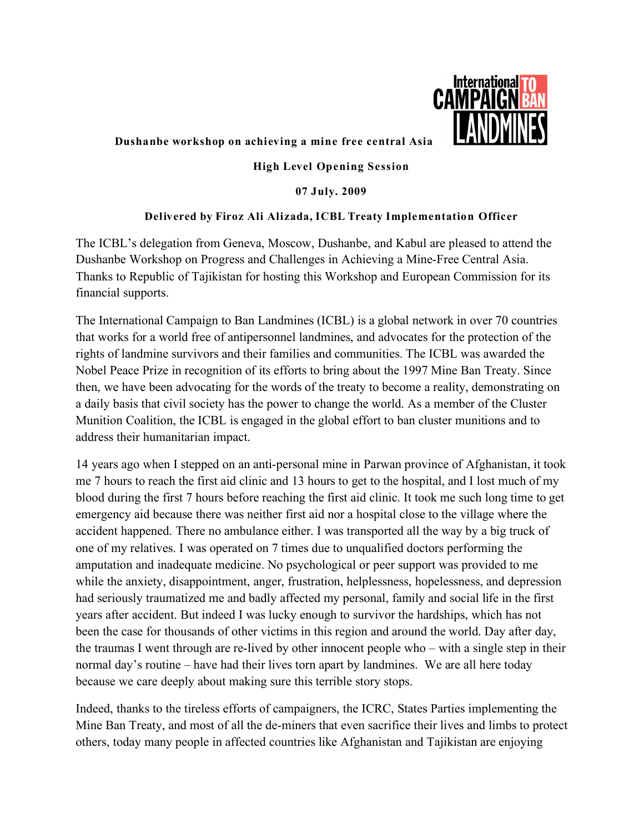

## **Dushanbe workshop on achieving a mine free central Asia**

## **High Level Opening Session**

**07 July. 2009**

## **Delivered by Firoz Ali Alizada, ICBL Treaty Implementation Officer**

The ICBL's delegation from Geneva, Moscow, Dushanbe, and Kabul are pleased to attend the Dushanbe Workshop on Progress and Challenges in Achieving a Mine-Free Central Asia. Thanks to Republic of Tajikistan for hosting this Workshop and European Commission for its financial supports.

The International Campaign to Ban Landmines (ICBL) is a global network in over 70 countries that works for a world free of antipersonnel landmines, and advocates for the protection of the rights of landmine survivors and their families and communities. The ICBL was awarded the Nobel Peace Prize in recognition of its efforts to bring about the 1997 Mine Ban Treaty. Since then, we have been advocating for the words of the treaty to become a reality, demonstrating on a daily basis that civil society has the power to change the world. As a member of the Cluster Munition Coalition, the ICBL is engaged in the global effort to ban cluster munitions and to address their humanitarian impact.

14 years ago when I stepped on an anti-personal mine in Parwan province of Afghanistan, it took me 7 hours to reach the first aid clinic and 13 hours to get to the hospital, and I lost much of my blood during the first 7 hours before reaching the first aid clinic. It took me such long time to get emergency aid because there was neither first aid nor a hospital close to the village where the accident happened. There no ambulance either. I was transported all the way by a big truck of one of my relatives. I was operated on 7 times due to unqualified doctors performing the amputation and inadequate medicine. No psychological or peer support was provided to me while the anxiety, disappointment, anger, frustration, helplessness, hopelessness, and depression had seriously traumatized me and badly affected my personal, family and social life in the first years after accident. But indeed I was lucky enough to survivor the hardships, which has not been the case for thousands of other victims in this region and around the world. Day after day, the traumas I went through are re-lived by other innocent people who – with a single step in their normal day's routine – have had their lives torn apart by landmines. We are all here today because we care deeply about making sure this terrible story stops.

Indeed, thanks to the tireless efforts of campaigners, the ICRC, States Parties implementing the Mine Ban Treaty, and most of all the de-miners that even sacrifice their lives and limbs to protect others, today many people in affected countries like Afghanistan and Tajikistan are enjoying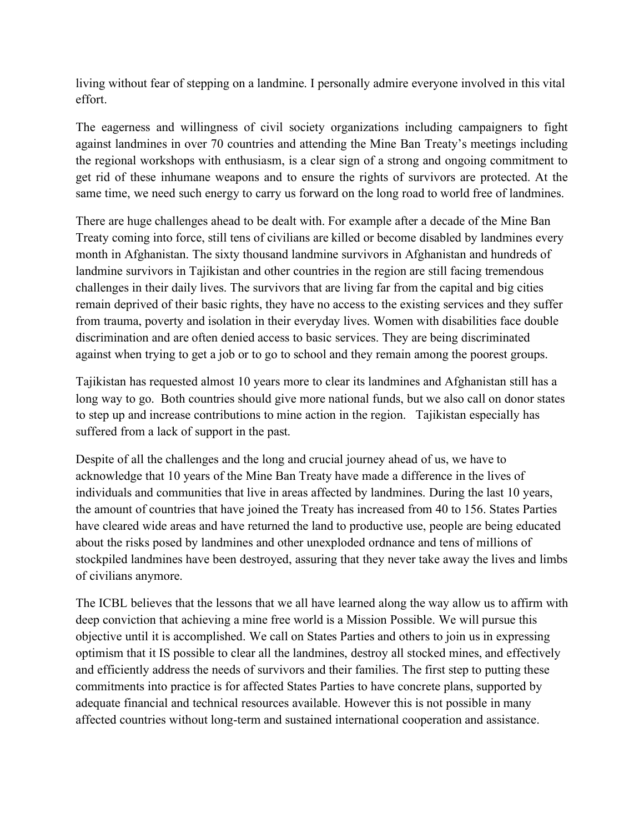living without fear of stepping on a landmine. I personally admire everyone involved in this vital effort.

The eagerness and willingness of civil society organizations including campaigners to fight against landmines in over 70 countries and attending the Mine Ban Treaty's meetings including the regional workshops with enthusiasm, is a clear sign of a strong and ongoing commitment to get rid of these inhumane weapons and to ensure the rights of survivors are protected. At the same time, we need such energy to carry us forward on the long road to world free of landmines.

There are huge challenges ahead to be dealt with. For example after a decade of the Mine Ban Treaty coming into force, still tens of civilians are killed or become disabled by landmines every month in Afghanistan. The sixty thousand landmine survivors in Afghanistan and hundreds of landmine survivors in Tajikistan and other countries in the region are still facing tremendous challenges in their daily lives. The survivors that are living far from the capital and big cities remain deprived of their basic rights, they have no access to the existing services and they suffer from trauma, poverty and isolation in their everyday lives. Women with disabilities face double discrimination and are often denied access to basic services. They are being discriminated against when trying to get a job or to go to school and they remain among the poorest groups.

Tajikistan has requested almost 10 years more to clear its landmines and Afghanistan still has a long way to go. Both countries should give more national funds, but we also call on donor states to step up and increase contributions to mine action in the region. Tajikistan especially has suffered from a lack of support in the past.

Despite of all the challenges and the long and crucial journey ahead of us, we have to acknowledge that 10 years of the Mine Ban Treaty have made a difference in the lives of individuals and communities that live in areas affected by landmines. During the last 10 years, the amount of countries that have joined the Treaty has increased from 40 to 156. States Parties have cleared wide areas and have returned the land to productive use, people are being educated about the risks posed by landmines and other unexploded ordnance and tens of millions of stockpiled landmines have been destroyed, assuring that they never take away the lives and limbs of civilians anymore.

The ICBL believes that the lessons that we all have learned along the way allow us to affirm with deep conviction that achieving a mine free world is a Mission Possible. We will pursue this objective until it is accomplished. We call on States Parties and others to join us in expressing optimism that it IS possible to clear all the landmines, destroy all stocked mines, and effectively and efficiently address the needs of survivors and their families. The first step to putting these commitments into practice is for affected States Parties to have concrete plans, supported by adequate financial and technical resources available. However this is not possible in many affected countries without long-term and sustained international cooperation and assistance.